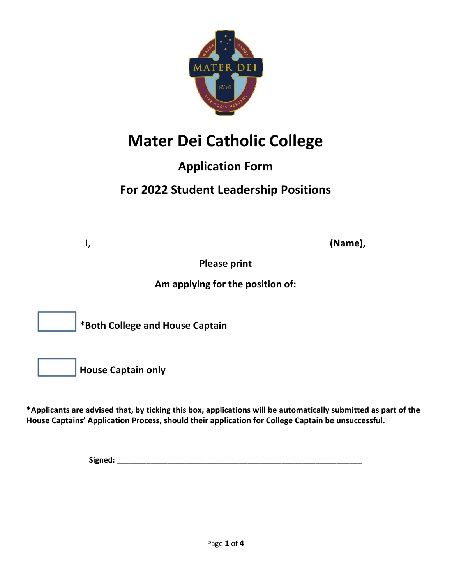

# **Mater Dei Catholic College**

#### **Application Form**

## **For 2022 Student Leadership Positions**

 $I,$   $(Mame),$ 

**Please print**

**Am applying for the position of:**

**\*Both College and House Captain**

**House Captain only**

**\*Applicants are advised that, by ticking this box, applications will be automatically submitted as part of the House Captains' Application Process, should their application for College Captain be unsuccessful.**

**Signed:** \_\_\_\_\_\_\_\_\_\_\_\_\_\_\_\_\_\_\_\_\_\_\_\_\_\_\_\_\_\_\_\_\_\_\_\_\_\_\_\_\_\_\_\_\_\_\_\_\_\_\_\_\_\_\_\_\_\_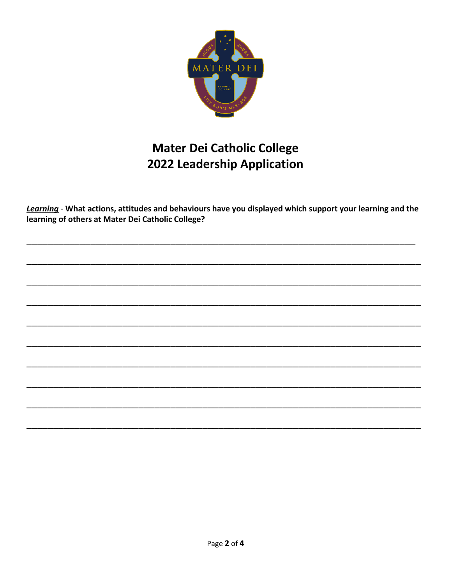

## **Mater Dei Catholic College** 2022 Leadership Application

Learning - What actions, attitudes and behaviours have you displayed which support your learning and the learning of others at Mater Dei Catholic College?

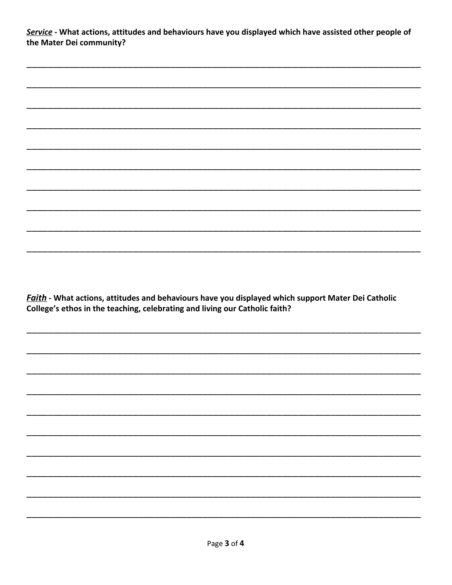Service - What actions, attitudes and behaviours have you displayed which have assisted other people of the Mater Dei community?

Faith - What actions, attitudes and behaviours have you displayed which support Mater Dei Catholic College's ethos in the teaching, celebrating and living our Catholic faith?